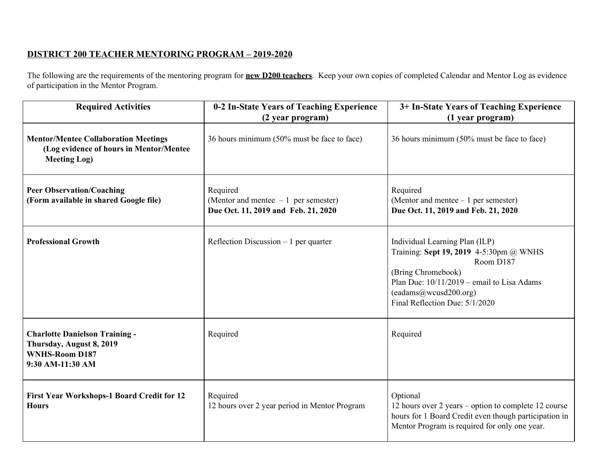## **DISTRICT 200 TEACHER MENTORING PROGRAM – 2019-2020**

The following are the requirements of the mentoring program for **new D200 teachers**. Keep your own copies of completed Calendar and Mentor Log as evidence of participation in the Mentor Program.

| <b>Required Activities</b>                                                                                     | 0-2 In-State Years of Teaching Experience<br>(2 year program)                            | 3+ In-State Years of Teaching Experience<br>(1 year program)                                                                                                                                                            |
|----------------------------------------------------------------------------------------------------------------|------------------------------------------------------------------------------------------|-------------------------------------------------------------------------------------------------------------------------------------------------------------------------------------------------------------------------|
| <b>Mentor/Mentee Collaboration Meetings</b><br>(Log evidence of hours in Mentor/Mentee<br><b>Meeting Log)</b>  | 36 hours minimum (50% must be face to face)                                              | 36 hours minimum (50% must be face to face)                                                                                                                                                                             |
| <b>Peer Observation/Coaching</b><br>(Form available in shared Google file)                                     | Required<br>(Mentor and mentee $-1$ per semester)<br>Due Oct. 11, 2019 and Feb. 21, 2020 | Required<br>(Mentor and mentee $-1$ per semester)<br>Due Oct. 11, 2019 and Feb. 21, 2020                                                                                                                                |
| <b>Professional Growth</b>                                                                                     | Reflection Discussion $-1$ per quarter                                                   | Individual Learning Plan (ILP)<br>Training: Sept 19, 2019 4-5:30pm @ WNHS<br>Room D187<br>(Bring Chromebook)<br>Plan Due: $10/11/2019$ – email to Lisa Adams<br>(eadams@wcusd200.org)<br>Final Reflection Due: 5/1/2020 |
| <b>Charlotte Danielson Training -</b><br>Thursday, August 8, 2019<br><b>WNHS-Room D187</b><br>9:30 AM-11:30 AM | Required                                                                                 | Required                                                                                                                                                                                                                |
| <b>First Year Workshops-1 Board Credit for 12</b><br><b>Hours</b>                                              | Required<br>12 hours over 2 year period in Mentor Program                                | Optional<br>12 hours over 2 years – option to complete 12 course<br>hours for 1 Board Credit even though participation in<br>Mentor Program is required for only one year.                                              |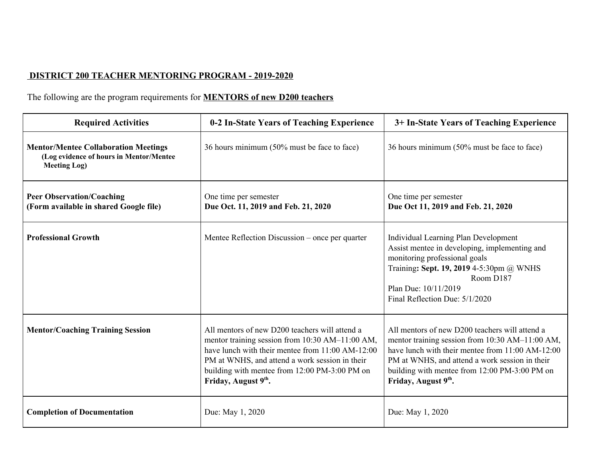## **DISTRICT 200 TEACHER MENTORING PROGRAM - 2019-2020**

## The following are the program requirements for **MENTORS of new D200 teachers**

| <b>Required Activities</b>                                                                                    | 0-2 In-State Years of Teaching Experience                                                                                                                                                                                                                                       | 3+ In-State Years of Teaching Experience                                                                                                                                                                                                                                        |
|---------------------------------------------------------------------------------------------------------------|---------------------------------------------------------------------------------------------------------------------------------------------------------------------------------------------------------------------------------------------------------------------------------|---------------------------------------------------------------------------------------------------------------------------------------------------------------------------------------------------------------------------------------------------------------------------------|
| <b>Mentor/Mentee Collaboration Meetings</b><br>(Log evidence of hours in Mentor/Mentee<br><b>Meeting Log)</b> | 36 hours minimum (50% must be face to face)                                                                                                                                                                                                                                     | 36 hours minimum (50% must be face to face)                                                                                                                                                                                                                                     |
| <b>Peer Observation/Coaching</b><br>(Form available in shared Google file)                                    | One time per semester<br>Due Oct. 11, 2019 and Feb. 21, 2020                                                                                                                                                                                                                    | One time per semester<br>Due Oct 11, 2019 and Feb. 21, 2020                                                                                                                                                                                                                     |
| <b>Professional Growth</b>                                                                                    | Mentee Reflection Discussion – once per quarter                                                                                                                                                                                                                                 | Individual Learning Plan Development<br>Assist mentee in developing, implementing and<br>monitoring professional goals<br>Training: Sept. 19, 2019 4-5:30pm @ WNHS<br>Room D187<br>Plan Due: 10/11/2019<br>Final Reflection Due: 5/1/2020                                       |
| <b>Mentor/Coaching Training Session</b>                                                                       | All mentors of new D200 teachers will attend a<br>mentor training session from 10:30 AM-11:00 AM,<br>have lunch with their mentee from 11:00 AM-12:00<br>PM at WNHS, and attend a work session in their<br>building with mentee from 12:00 PM-3:00 PM on<br>Friday, August 9th. | All mentors of new D200 teachers will attend a<br>mentor training session from 10:30 AM-11:00 AM,<br>have lunch with their mentee from 11:00 AM-12:00<br>PM at WNHS, and attend a work session in their<br>building with mentee from 12:00 PM-3:00 PM on<br>Friday, August 9th. |
| <b>Completion of Documentation</b>                                                                            | Due: May 1, 2020                                                                                                                                                                                                                                                                | Due: May 1, 2020                                                                                                                                                                                                                                                                |